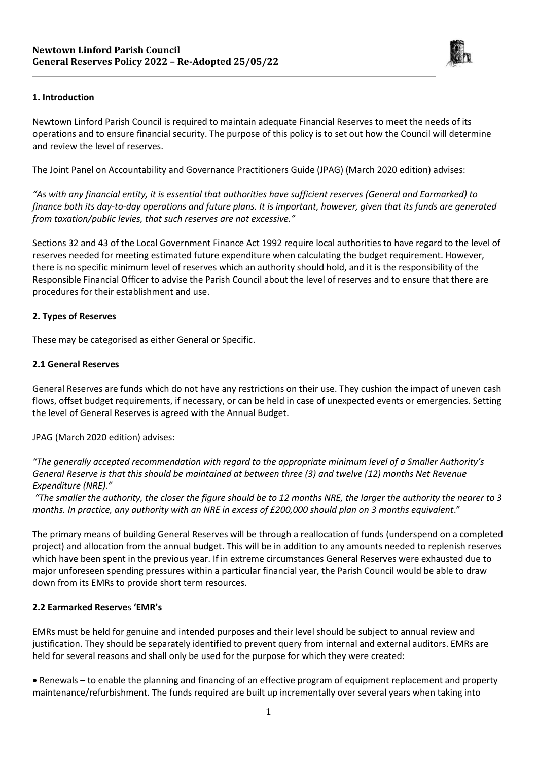

## **1. Introduction**

Newtown Linford Parish Council is required to maintain adequate Financial Reserves to meet the needs of its operations and to ensure financial security. The purpose of this policy is to set out how the Council will determine and review the level of reserves.

The Joint Panel on Accountability and Governance Practitioners Guide (JPAG) (March 2020 edition) advises:

*"As with any financial entity, it is essential that authorities have sufficient reserves (General and Earmarked) to finance both its day-to-day operations and future plans. It is important, however, given that its funds are generated from taxation/public levies, that such reserves are not excessive."*

Sections 32 and 43 of the Local Government Finance Act 1992 require local authorities to have regard to the level of reserves needed for meeting estimated future expenditure when calculating the budget requirement. However, there is no specific minimum level of reserves which an authority should hold, and it is the responsibility of the Responsible Financial Officer to advise the Parish Council about the level of reserves and to ensure that there are procedures for their establishment and use.

## **2. Types of Reserves**

These may be categorised as either General or Specific.

## **2.1 General Reserves**

General Reserves are funds which do not have any restrictions on their use. They cushion the impact of uneven cash flows, offset budget requirements, if necessary, or can be held in case of unexpected events or emergencies. Setting the level of General Reserves is agreed with the Annual Budget.

# JPAG (March 2020 edition) advises:

*"The generally accepted recommendation with regard to the appropriate minimum level of a Smaller Authority's General Reserve is that this should be maintained at between three (3) and twelve (12) months Net Revenue Expenditure (NRE)."*

*"The smaller the authority, the closer the figure should be to 12 months NRE, the larger the authority the nearer to 3 months. In practice, any authority with an NRE in excess of £200,000 should plan on 3 months equivalent*."

The primary means of building General Reserves will be through a reallocation of funds (underspend on a completed project) and allocation from the annual budget. This will be in addition to any amounts needed to replenish reserves which have been spent in the previous year. If in extreme circumstances General Reserves were exhausted due to major unforeseen spending pressures within a particular financial year, the Parish Council would be able to draw down from its EMRs to provide short term resources.

#### **2.2 Earmarked Reserve**s **'EMR's**

EMRs must be held for genuine and intended purposes and their level should be subject to annual review and justification. They should be separately identified to prevent query from internal and external auditors. EMRs are held for several reasons and shall only be used for the purpose for which they were created:

 Renewals – to enable the planning and financing of an effective program of equipment replacement and property maintenance/refurbishment. The funds required are built up incrementally over several years when taking into